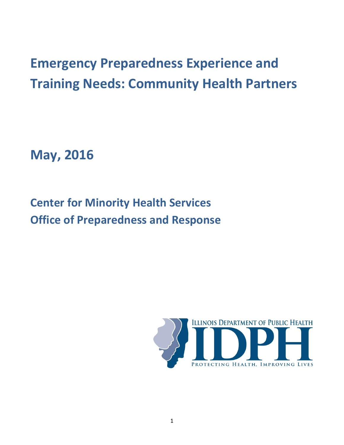# **Emergency Preparedness Experience and Training Needs: Community Health Partners**

**May, 2016**

**Center for Minority Health Services Office of Preparedness and Response**

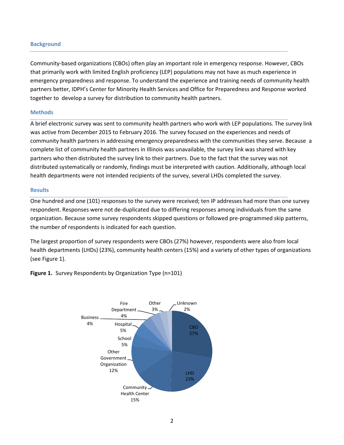#### **Background**

Community-based organizations (CBOs) often play an important role in emergency response. However, CBOs that primarily work with limited English proficiency (LEP) populations may not have as much experience in emergency preparedness and response. To understand the experience and training needs of community health partners better, IDPH's Center for Minority Health Services and Office for Preparedness and Response worked together to develop a survey for distribution to community health partners.

#### **Methods**

A brief electronic survey was sent to community health partners who work with LEP populations. The survey link was active from December 2015 to February 2016. The survey focused on the experiences and needs of community health partners in addressing emergency preparedness with the communities they serve. Because a complete list of community health partners in Illinois was unavailable, the survey link was shared with key partners who then distributed the survey link to their partners. Due to the fact that the survey was not distributed systematically or randomly, findings must be interpreted with caution. Additionally, although local health departments were not intended recipients of the survey, several LHDs completed the survey.

#### **Results**

One hundred and one (101) responses to the survey were received; ten IP addresses had more than one survey respondent. Responses were not de-duplicated due to differing responses among individuals from the same organization. Because some survey respondents skipped questions or followed pre-programmed skip patterns, the number of respondents is indicated for each question.

The largest proportion of survey respondents were CBOs (27%) however, respondents were also from local health departments (LHDs) (23%), community health centers (15%) and a variety of other types of organizations (see Figure 1).

**Figure 1.** Survey Respondents by Organization Type (n=101)

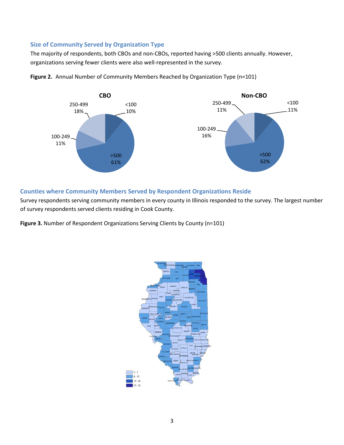### **Size of Community Served by Organization Type**

The majority of respondents, both CBOs and non-CBOs, reported having >500 clients annually. However, organizations serving fewer clients were also well-represented in the survey.



**Figure 2.** Annual Number of Community Members Reached by Organization Type (n=101)

## **Counties where Community Members Served by Respondent Organizations Reside**

Survey respondents serving community members in every county in Illinois responded to the survey. The largest number of survey respondents served clients residing in Cook County.

**Figure 3.** Number of Respondent Organizations Serving Clients by County (n=101)

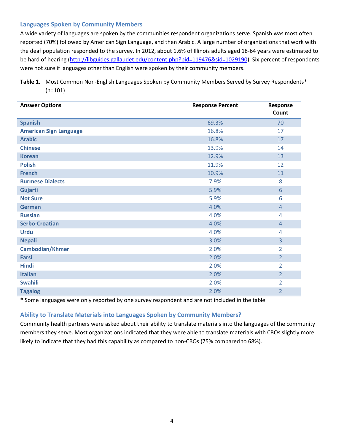### **Languages Spoken by Community Members**

A wide variety of languages are spoken by the communities respondent organizations serve. Spanish was most often reported (70%) followed by American Sign Language, and then Arabic. A large number of organizations that work with the deaf population responded to the survey. In 2012, about 1.6% of Illinois adults aged 18-64 years were estimated to be hard of hearing [\(http://libguides.gallaudet.edu/content.php?pid=119476&sid=1029190\)](http://libguides.gallaudet.edu/content.php?pid=119476&sid=1029190). Six percent of respondents were not sure if languages other than English were spoken by their community members.

## **Table 1.** Most Common Non-English Languages Spoken by Community Members Served by Survey Respondents\*  $(n=101)$

| <b>Answer Options</b>         | <b>Response Percent</b> | Response<br>Count |
|-------------------------------|-------------------------|-------------------|
| <b>Spanish</b>                | 69.3%                   | 70                |
| <b>American Sign Language</b> | 16.8%                   | 17                |
| <b>Arabic</b>                 | 16.8%                   | 17                |
| <b>Chinese</b>                | 13.9%                   | 14                |
| <b>Korean</b>                 | 12.9%                   | 13                |
| <b>Polish</b>                 | 11.9%                   | 12                |
| <b>French</b>                 | 10.9%                   | 11                |
| <b>Burmese Dialects</b>       | 7.9%                    | 8                 |
| Gujarti                       | 5.9%                    | 6                 |
| <b>Not Sure</b>               | 5.9%                    | 6                 |
| <b>German</b>                 | 4.0%                    | $\overline{4}$    |
| <b>Russian</b>                | 4.0%                    | 4                 |
| <b>Serbo-Croatian</b>         | 4.0%                    | $\overline{4}$    |
| <b>Urdu</b>                   | 4.0%                    | 4                 |
| <b>Nepali</b>                 | 3.0%                    | $\overline{3}$    |
| <b>Cambodian/Khmer</b>        | 2.0%                    | $\overline{2}$    |
| <b>Farsi</b>                  | 2.0%                    | $\overline{2}$    |
| <b>Hindi</b>                  | 2.0%                    | $\overline{2}$    |
| <b>Italian</b>                | 2.0%                    | $\overline{2}$    |
| <b>Swahili</b>                | 2.0%                    | 2                 |
| <b>Tagalog</b>                | 2.0%                    | $\overline{2}$    |

**\*** Some languages were only reported by one survey respondent and are not included in the table

## **Ability to Translate Materials into Languages Spoken by Community Members?**

Community health partners were asked about their ability to translate materials into the languages of the community members they serve. Most organizations indicated that they were able to translate materials with CBOs slightly more likely to indicate that they had this capability as compared to non-CBOs (75% compared to 68%).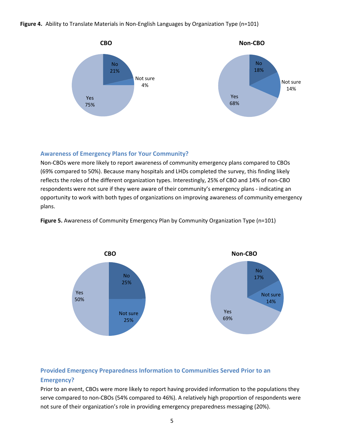**Figure 4.** Ability to Translate Materials in Non-English Languages by Organization Type (n=101)



## **Awareness of Emergency Plans for Your Community?**

Non-CBOs were more likely to report awareness of community emergency plans compared to CBOs (69% compared to 50%). Because many hospitals and LHDs completed the survey, this finding likely reflects the roles of the different organization types. Interestingly, 25% of CBO and 14% of non-CBO respondents were not sure if they were aware of their community's emergency plans - indicating an opportunity to work with both types of organizations on improving awareness of community emergency plans.



**Figure 5.** Awareness of Community Emergency Plan by Community Organization Type (n=101)

## **Provided Emergency Preparedness Information to Communities Served Prior to an Emergency?**

Prior to an event, CBOs were more likely to report having provided information to the populations they serve compared to non-CBOs (54% compared to 46%). A relatively high proportion of respondents were not sure of their organization's role in providing emergency preparedness messaging (20%).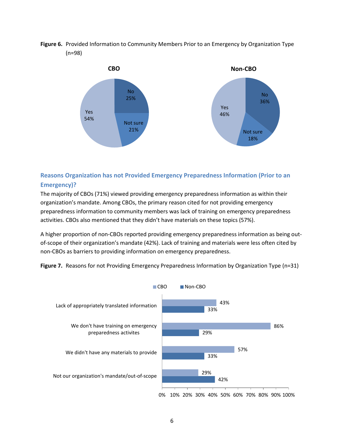**Figure 6.** Provided Information to Community Members Prior to an Emergency by Organization Type (n=98)



## **Reasons Organization has not Provided Emergency Preparedness Information (Prior to an Emergency)?**

The majority of CBOs (71%) viewed providing emergency preparedness information as within their organization's mandate. Among CBOs, the primary reason cited for not providing emergency preparedness information to community members was lack of training on emergency preparedness activities. CBOs also mentioned that they didn't have materials on these topics (57%).

A higher proportion of non-CBOs reported providing emergency preparedness information as being outof-scope of their organization's mandate (42%). Lack of training and materials were less often cited by non-CBOs as barriers to providing information on emergency preparedness.



**Figure 7.** Reasons for not Providing Emergency Preparedness Information by Organization Type (n=31)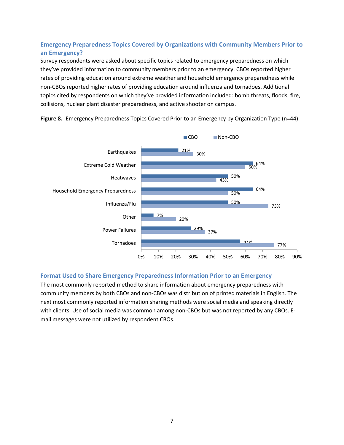## **Emergency Preparedness Topics Covered by Organizations with Community Members Prior to an Emergency?**

Survey respondents were asked about specific topics related to emergency preparedness on which they've provided information to community members prior to an emergency. CBOs reported higher rates of providing education around extreme weather and household emergency preparedness while non-CBOs reported higher rates of providing education around influenza and tornadoes. Additional topics cited by respondents on which they've provided information included: bomb threats, floods, fire, collisions, nuclear plant disaster preparedness, and active shooter on campus.



**Figure 8.** Emergency Preparedness Topics Covered Prior to an Emergency by Organization Type (n=44)

## **Format Used to Share Emergency Preparedness Information Prior to an Emergency**

The most commonly reported method to share information about emergency preparedness with community members by both CBOs and non-CBOs was distribution of printed materials in English. The next most commonly reported information sharing methods were social media and speaking directly with clients. Use of social media was common among non-CBOs but was not reported by any CBOs. Email messages were not utilized by respondent CBOs.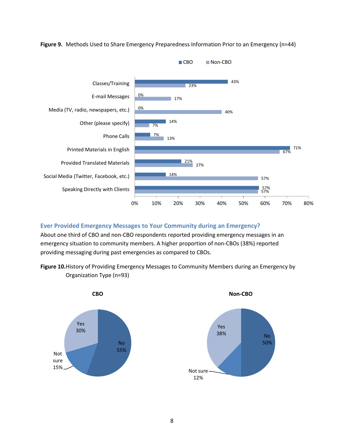

**Figure 9.** Methods Used to Share Emergency Preparedness Information Prior to an Emergency (n=44)

## **Ever Provided Emergency Messages to Your Community during an Emergency?**

About one third of CBO and non-CBO respondents reported providing emergency messages in an emergency situation to community members. A higher proportion of non-CBOs (38%) reported providing messaging during past emergencies as compared to CBOs.

**Figure 10.**History of Providing Emergency Messages to Community Members during an Emergency by Organization Type (n=93)



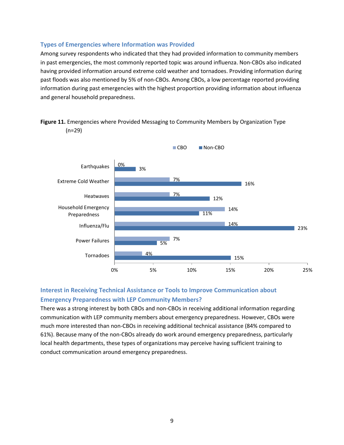#### **Types of Emergencies where Information was Provided**

Among survey respondents who indicated that they had provided information to community members in past emergencies, the most commonly reported topic was around influenza. Non-CBOs also indicated having provided information around extreme cold weather and tornadoes. Providing information during past floods was also mentioned by 5% of non-CBOs. Among CBOs, a low percentage reported providing information during past emergencies with the highest proportion providing information about influenza and general household preparedness.





**Interest in Receiving Technical Assistance or Tools to Improve Communication about Emergency Preparedness with LEP Community Members?**

There was a strong interest by both CBOs and non-CBOs in receiving additional information regarding communication with LEP community members about emergency preparedness. However, CBOs were much more interested than non-CBOs in receiving additional technical assistance (84% compared to 61%). Because many of the non-CBOs already do work around emergency preparedness, particularly local health departments, these types of organizations may perceive having sufficient training to conduct communication around emergency preparedness.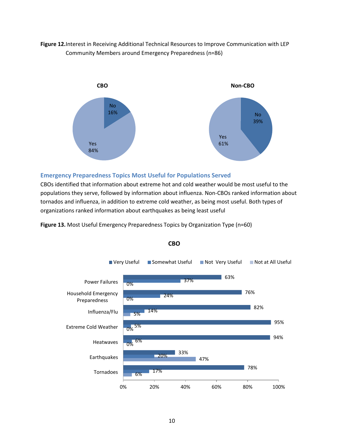## **Figure 12.**Interest in Receiving Additional Technical Resources to Improve Communication with LEP Community Members around Emergency Preparedness (n=86)



#### **Emergency Preparedness Topics Most Useful for Populations Served**

CBOs identified that information about extreme hot and cold weather would be most useful to the populations they serve, followed by information about influenza. Non-CBOs ranked information about tornados and influenza, in addition to extreme cold weather, as being most useful. Both types of organizations ranked information about earthquakes as being least useful

**Figure 13.** Most Useful Emergency Preparedness Topics by Organization Type (n=60)



#### **CBO**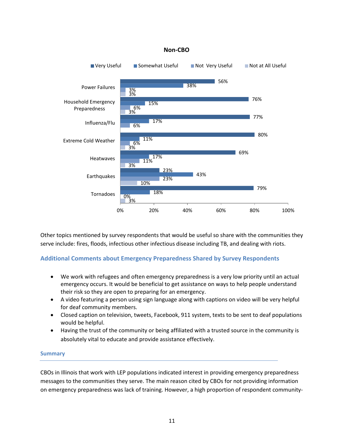

Other topics mentioned by survey respondents that would be useful so share with the communities they serve include: fires, floods, infectious other infectious disease including TB, and dealing with riots.

## **Additional Comments about Emergency Preparedness Shared by Survey Respondents**

- We work with refugees and often emergency preparedness is a very low priority until an actual emergency occurs. It would be beneficial to get assistance on ways to help people understand their risk so they are open to preparing for an emergency.
- A video featuring a person using sign language along with captions on video will be very helpful for deaf community members.
- Closed caption on television, tweets, Facebook, 911 system, texts to be sent to deaf populations would be helpful.
- Having the trust of the community or being affiliated with a trusted source in the community is absolutely vital to educate and provide assistance effectively.

## **Summary**

CBOs in Illinois that work with LEP populations indicated interest in providing emergency preparedness messages to the communities they serve. The main reason cited by CBOs for not providing information on emergency preparedness was lack of training. However, a high proportion of respondent community